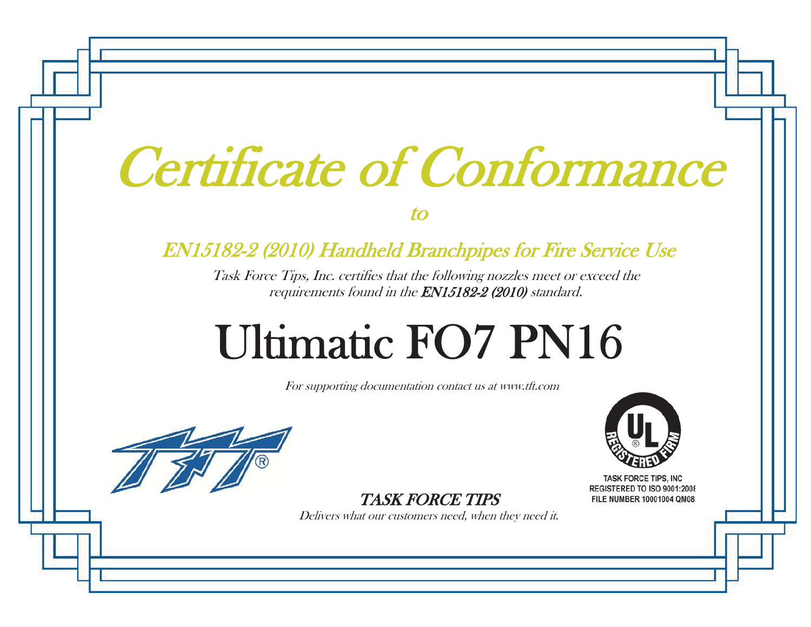# Certificate of Conformance

to

# EN15182-2 (2010) Handheld Branchpipes for Fire Service Use

Task Force Tips, Inc. certifies that the following nozzles meet or exceed the requirements found in the EN15182-2 (2010) standard.

# Ultimatic FO7 PN16

For supporting documentation contact us at www.tft.com



TASK FORCE TIPS

Delivers what our customers need, when they need it.



**TASK FORCE TIPS. INC REGISTERED TO ISO 9001:2008** FILE NUMBER 10001004 QM08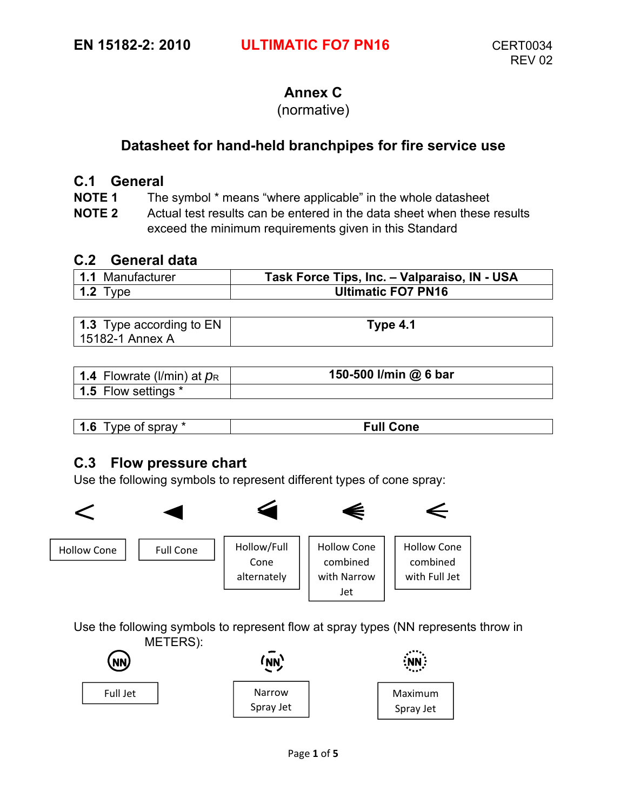#### **Annex C**

#### (normative)

#### **Datasheet for hand-held branchpipes for fire service use**

#### **C.1 General**

**NOTE 1** The symbol \* means "where applicable" in the whole datasheet

**NOTE 2** Actual test results can be entered in the data sheet when these results exceed the minimum requirements given in this Standard

#### **C.2 General data**

| 1.1 Manufacturer | Task Force Tips, Inc. - Valparaiso, IN - USA |
|------------------|----------------------------------------------|
| 1.2 Type         | <b>Ultimatic FO7 PN16</b>                    |

| <b>1.3</b> Type according to EN | Type 4.1 |
|---------------------------------|----------|
| 15182-1 Annex A                 |          |

| 1.4 Flowrate (I/min) at $p_R$ | 150-500 l/min @ 6 bar |  |
|-------------------------------|-----------------------|--|
| 1.5 Flow settings *           |                       |  |

| -4<br>vne of sprav *<br>1.0 | Full<br>Cone |
|-----------------------------|--------------|

#### **C.3 Flow pressure chart**

Use the following symbols to represent different types of cone spray:



Use the following symbols to represent flow at spray types (NN represents throw in METERS):

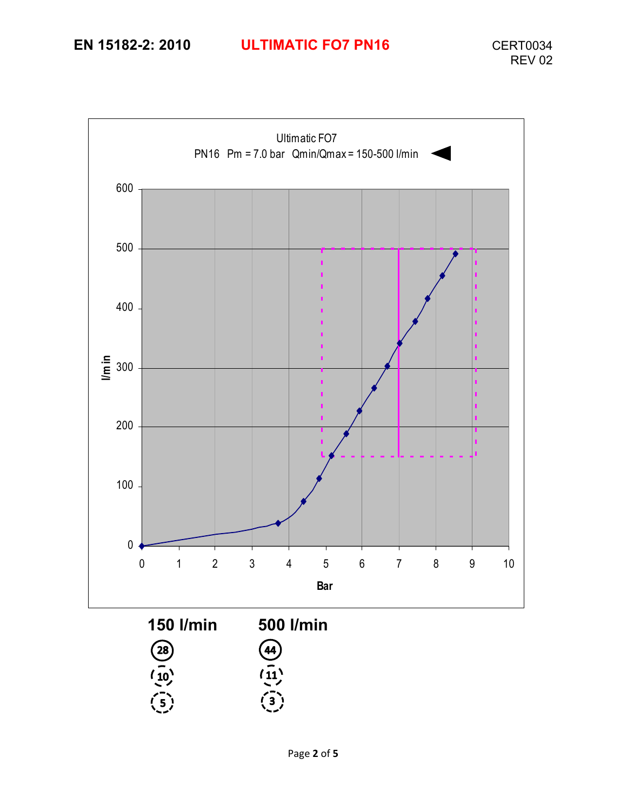# **EN 15182-2: 2010 ULTIMATIC FO7 PN16** CERT0034

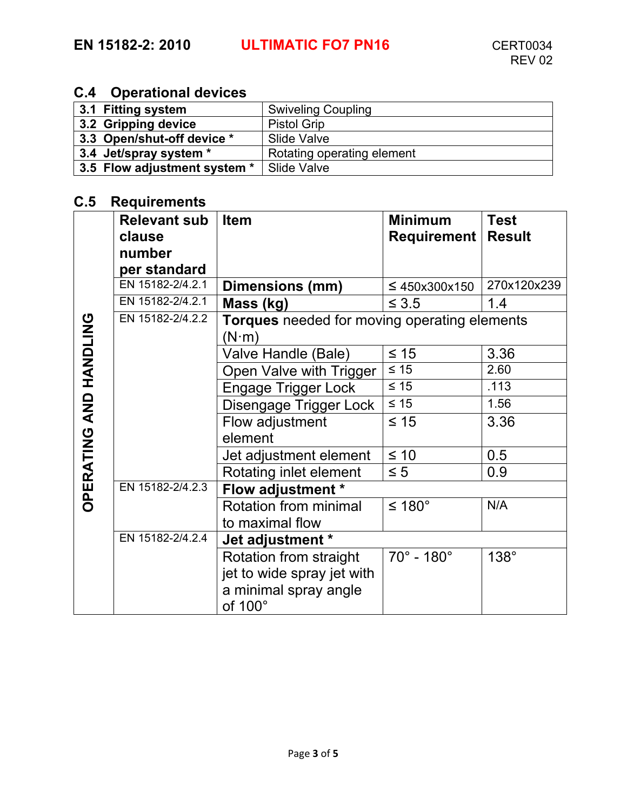## **C.4 Operational devices**

| 3.1 Fitting system           | <b>Swiveling Coupling</b>  |
|------------------------------|----------------------------|
| 3.2 Gripping device          | <b>Pistol Grip</b>         |
| 3.3 Open/shut-off device *   | Slide Valve                |
| 3.4 Jet/spray system *       | Rotating operating element |
| 3.5 Flow adjustment system * | Slide Valve                |

#### **C.5 Requirements**

|                        | <b>Relevant sub</b> | <b>Item</b>                                  | <b>Minimum</b>           | <b>Test</b>   |
|------------------------|---------------------|----------------------------------------------|--------------------------|---------------|
|                        | clause              |                                              | Requirement              | <b>Result</b> |
|                        | number              |                                              |                          |               |
|                        | per standard        |                                              |                          |               |
|                        | EN 15182-2/4.2.1    | <b>Dimensions (mm)</b>                       | $\leq 450x300x150$       | 270x120x239   |
|                        | EN 15182-2/4.2.1    | Mass (kg)                                    | $\leq 3.5$               | 1.4           |
|                        | EN 15182-2/4.2.2    | Torques needed for moving operating elements |                          |               |
|                        |                     | $(N \cdot m)$                                |                          |               |
|                        |                     | Valve Handle (Bale)                          | $\leq 15$                | 3.36          |
|                        |                     | Open Valve with Trigger                      | $\leq 15$                | 2.60          |
|                        |                     | <b>Engage Trigger Lock</b>                   | $\leq 15$                | .113          |
| OPERATING AND HANDLING |                     | Disengage Trigger Lock                       | $\leq 15$                | 1.56          |
|                        |                     | Flow adjustment                              | $\leq 15$                | 3.36          |
|                        |                     | element                                      |                          |               |
|                        |                     | Jet adjustment element                       | $\leq 10$                | 0.5           |
|                        |                     | Rotating inlet element                       | $\leq 5$                 | 0.9           |
|                        | EN 15182-2/4.2.3    | Flow adjustment *                            |                          |               |
|                        |                     | Rotation from minimal                        | $\leq 180^\circ$         | N/A           |
|                        |                     | to maximal flow                              |                          |               |
|                        | EN 15182-2/4.2.4    | Jet adjustment *                             |                          |               |
|                        |                     | Rotation from straight                       | $70^\circ$ - $180^\circ$ | 138°          |
|                        |                     | jet to wide spray jet with                   |                          |               |
|                        |                     | a minimal spray angle                        |                          |               |
|                        |                     | of 100°                                      |                          |               |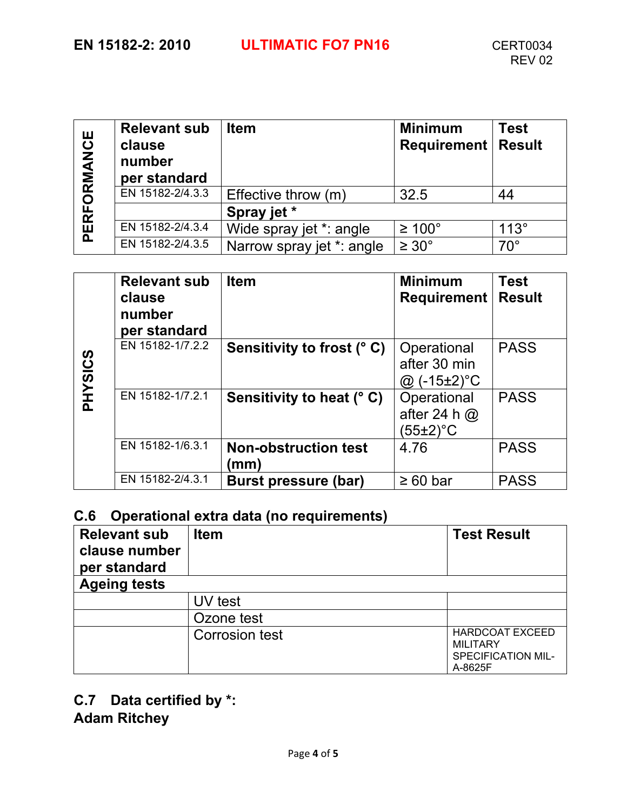| RFORMANCE | <b>Relevant sub</b><br>clause<br>number<br>per standard | <b>Item</b>               | <b>Minimum</b><br><b>Requirement</b> | <b>Test</b><br><b>Result</b> |
|-----------|---------------------------------------------------------|---------------------------|--------------------------------------|------------------------------|
|           | EN 15182-2/4.3.3                                        | Effective throw (m)       | 32.5                                 | 44                           |
|           |                                                         | Spray jet *               |                                      |                              |
| 짇         | EN 15182-2/4.3.4                                        | Wide spray jet *: angle   | $\geq 100^{\circ}$                   | $113^\circ$                  |
|           | EN 15182-2/4.3.5                                        | Narrow spray jet *: angle | $\geq 30^{\circ}$                    | $70^{\circ}$                 |

|         | <b>Relevant sub</b><br>clause<br>number<br>per standard | <b>Item</b>                         | <b>Minimum</b><br><b>Requirement</b>               | <b>Test</b><br><b>Result</b> |
|---------|---------------------------------------------------------|-------------------------------------|----------------------------------------------------|------------------------------|
| PHYSICS | EN 15182-1/7.2.2                                        | Sensitivity to frost (°C)           | Operational<br>after 30 min<br>$(-15\pm2)$ °C<br>@ | <b>PASS</b>                  |
|         | EN 15182-1/7.2.1                                        | Sensitivity to heat (° C)           | Operational<br>after 24 h $@$<br>$(55\pm2)$ °C     | <b>PASS</b>                  |
|         | EN 15182-1/6.3.1                                        | <b>Non-obstruction test</b><br>(mm) | 4.76                                               | <b>PASS</b>                  |
|         | EN 15182-2/4.3.1                                        | <b>Burst pressure (bar)</b>         | $\geq 60$ bar                                      | <b>PASS</b>                  |

## **C.6 Operational extra data (no requirements)**

| <b>Relevant sub</b><br>clause number<br>per standard | <b>Item</b>           | <b>Test Result</b>                                                                |  |  |  |
|------------------------------------------------------|-----------------------|-----------------------------------------------------------------------------------|--|--|--|
| <b>Ageing tests</b>                                  |                       |                                                                                   |  |  |  |
|                                                      | UV test               |                                                                                   |  |  |  |
|                                                      | Ozone test            |                                                                                   |  |  |  |
|                                                      | <b>Corrosion test</b> | <b>HARDCOAT EXCEED</b><br><b>MILITARY</b><br><b>SPECIFICATION MIL-</b><br>A-8625F |  |  |  |

### **C.7 Data certified by \*: Adam Ritchey**